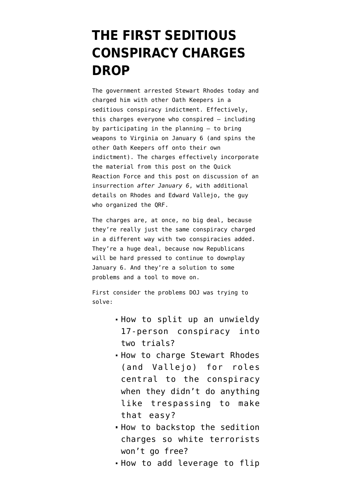## **[THE FIRST SEDITIOUS](https://www.emptywheel.net/2022/01/13/the-first-seditious-conspiracy-charges-drop/) [CONSPIRACY CHARGES](https://www.emptywheel.net/2022/01/13/the-first-seditious-conspiracy-charges-drop/) [DROP](https://www.emptywheel.net/2022/01/13/the-first-seditious-conspiracy-charges-drop/)**

The government arrested Stewart Rhodes today and [charged him](https://www.justice.gov/opa/press-release/file/1462481/download) with other Oath Keepers in a seditious conspiracy indictment. Effectively, this charges everyone who conspired — including by participating in the planning — to bring weapons to Virginia on January 6 (and spins the other Oath Keepers off onto their own indictment). The charges effectively incorporate the material from [this post on the Quick](https://www.emptywheel.net/2021/07/04/one-if-by-land-two-if-by-sea-what-we-know-of-the-oath-keepers-quick-reaction-force/) [Reaction Force](https://www.emptywheel.net/2021/07/04/one-if-by-land-two-if-by-sea-what-we-know-of-the-oath-keepers-quick-reaction-force/) and [this post on discussion of an](https://www.emptywheel.net/2021/08/25/its-really-difficult-to-determine-whats-real-and-whats-fake-at-least-three-oath-keepers-believed-trump-invoked-the-insurrection-act-on-january-10/) [insurrection](https://www.emptywheel.net/2021/08/25/its-really-difficult-to-determine-whats-real-and-whats-fake-at-least-three-oath-keepers-believed-trump-invoked-the-insurrection-act-on-january-10/) *[after January 6](https://www.emptywheel.net/2021/08/25/its-really-difficult-to-determine-whats-real-and-whats-fake-at-least-three-oath-keepers-believed-trump-invoked-the-insurrection-act-on-january-10/)*, with additional details on Rhodes and Edward Vallejo, the guy who organized the QRF.

The charges are, at once, no big deal, because they're really just the same conspiracy charged in a different way with two conspiracies added. They're a huge deal, because now Republicans will be hard pressed to continue to downplay January 6. And they're a solution to some problems and a tool to move on.

First consider the problems DOJ was trying to solve:

- How to split up an unwieldy 17-person conspiracy into two trials?
- How to charge Stewart Rhodes (and Vallejo) for roles central to the conspiracy when they didn't do anything like trespassing to make that easy?
- How to backstop the sedition charges so white terrorists won't go free?
- How to add leverage to flip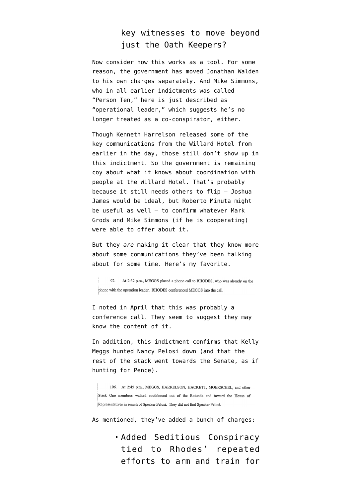## key witnesses to move beyond just the Oath Keepers?

Now consider how this works as a tool. For some reason, the government has moved Jonathan Walden [to his own charges](https://www.justice.gov/usao-dc/press-release/file/1462356/download) separately. And Mike Simmons, who in all earlier indictments was called "Person Ten," here is just described as "operational leader," which suggests he's no longer treated as a co-conspirator, either.

Though Kenneth Harrelson released some of [the](https://www.emptywheel.net/2021/12/10/joshua-james-frequent-updates-from-his-jilted-viper/) [key communications](https://www.emptywheel.net/2021/12/10/joshua-james-frequent-updates-from-his-jilted-viper/) from the Willard Hotel from earlier in the day, those still don't show up in this indictment. So the government is remaining coy about what it knows about coordination with people at the Willard Hotel. That's probably because it still needs others to flip — Joshua James would be ideal, but Roberto Minuta might be useful as well — to confirm whatever Mark Grods and Mike Simmons (if he is cooperating) were able to offer about it.

But they *are* making it clear that they know more about some communications they've been talking about for some time. Here's my favorite.

92. At 2:32 p.m., MEGGS placed a phone call to RHODES, who was already on the phone with the operation leader. RHODES conferenced MEGGS into the call.

I [noted in April](https://www.emptywheel.net/2021/04/02/the-grand-theft-golf-cart-conspiracy-doj-backed-off-charges-against-roberto-minuta) that this was probably a conference call. They seem to suggest they may know the content of it.

In addition, this indictment confirms that Kelly Meggs hunted Nancy Pelosi down (and that the rest of the stack went towards the Senate, as if hunting for Pence).

106. At 2:45 p.m., MEGGS, HARRELSON, HACKETT, MOERSCHEL, and other Stack One members walked southbound out of the Rotunda and toward the House of Representatives in search of Speaker Pelosi. They did not find Speaker Pelosi.

As mentioned, they've added a bunch of charges:

Added Seditious Conspiracy tied to Rhodes' repeated efforts to arm and train for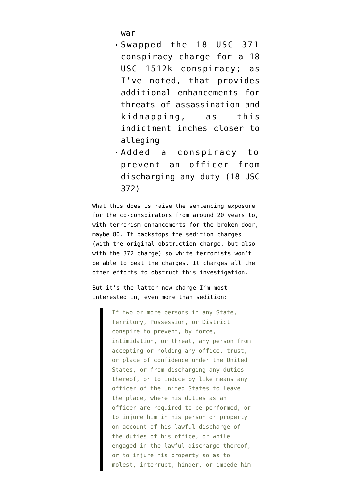war

- Swapped the 18 USC 371 conspiracy charge for a 18 USC 1512k conspiracy; [as](https://www.emptywheel.net/2021/06/14/a-new-emphasis-on-influence-and-threats-in-the-latest-january-6-conspiracy-indictment/) [I've noted](https://www.emptywheel.net/2021/06/14/a-new-emphasis-on-influence-and-threats-in-the-latest-january-6-conspiracy-indictment/), that provides additional enhancements for threats of assassination and kidnapping, as this indictment inches closer to alleging
- Added a conspiracy to prevent an officer from discharging any duty (18 USC 372)

What this does is raise the sentencing exposure for the co-conspirators from around 20 years to, with terrorism enhancements for the broken door, maybe 80. It backstops the sedition charges (with the original obstruction charge, but also with the 372 charge) so white terrorists won't be able to beat the charges. It charges all the other efforts to obstruct this investigation.

But it's the latter new charge I'm most interested in, even more than sedition:

> If two or more persons in any State, Territory, Possession, or District conspire to prevent, by force, intimidation, or threat, any person from accepting or holding any office, trust, or place of confidence under the United States, or from discharging any duties thereof, or to induce by like means any officer of the United States to leave the place, where his duties as an officer are required to be performed, or to injure him in his person or property on account of his lawful discharge of the duties of his office, or while engaged in the lawful discharge thereof, or to injure his property so as to molest, interrupt, hinder, or impede him